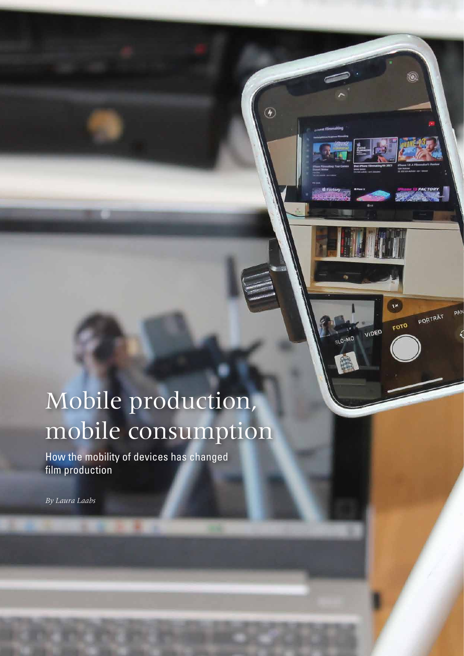# Mobile production, mobile consumption

 $\circledcirc$ 

 $\mathbf{W}$ 

VIDEO

**OM-0JS** 

FOTO

PAN

PORTRÄT

 $\circledast$ 

How the mobility of devices has changed film production

*By Laura Laabs*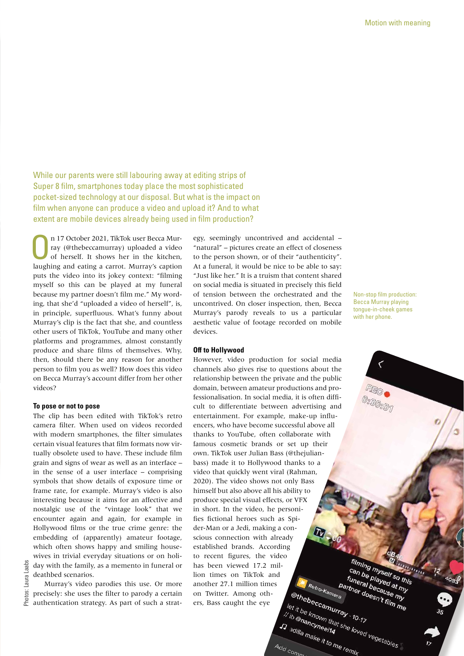While our parents were still labouring away at editing strips of Super 8 film, smartphones today place the most sophisticated pocket-sized technology at our disposal. But what is the impact on film when anyone can produce a video and upload it? And to what extent are mobile devices already being used in film production?

On 17 October 2021, TikTok user Becca Murray (@thebeccamurray) uploaded a video<br>of herself. It shows her in the kitchen,<br>lumbing and extince a sumet Murray's antion ray (@thebeccamurray) uploaded a video laughing and eating a carrot. Murray's caption puts the video into its jokey context: "filming myself so this can be played at my funeral because my partner doesn't film me." My wording, that she'd "uploaded a video of herself", is, in principle, superfluous. What's funny about Murray's clip is the fact that she, and countless other users of TikTok, YouTube and many other platforms and programmes, almost constantly produce and share films of themselves. Why, then, should there be any reason for another person to film you as well? How does this video on Becca Murray's account differ from her other videos?

### **To pose or not to pose**

The clip has been edited with TikTok's retro camera filter. When used on videos recorded with modern smartphones, the filter simulates certain visual features that film formats now virtually obsolete used to have. These include film grain and signs of wear as well as an interface – in the sense of a user interface – comprising symbols that show details of exposure time or frame rate, for example. Murray's video is also interesting because it aims for an affective and nostalgic use of the "vintage look" that we encounter again and again, for example in Hollywood films or the true crime genre: the embedding of (apparently) amateur footage, which often shows happy and smiling housewives in trivial everyday situations or on holiday with the family, as a memento in funeral or deathbed scenarios.

Murray's video parodies this use. Or more precisely: she uses the filter to parody a certain authentication strategy. As part of such a strategy, seemingly uncontrived and accidental – "natural" – pictures create an effect of closeness to the person shown, or of their "authenticity". At a funeral, it would be nice to be able to say: "Just like her." It is a truism that content shared on social media is situated in precisely this field of tension between the orchestrated and the uncontrived. On closer inspection, then, Becca Murray's parody reveals to us a particular aesthetic value of footage recorded on mobile devices.

### **Off to Hollywood**

However, video production for social media channels also gives rise to questions about the relationship between the private and the public domain, between amateur productions and professionalisation. In social media, it is often difficult to differentiate between advertising and entertainment. For example, make-up influencers, who have become successful above all thanks to YouTube, often collaborate with famous cosmetic brands or set up their own. TikTok user Julian Bass (@thejulianbass) made it to Hollywood thanks to a video that quickly went viral (Rahman, 2020). The video shows not only Bass himself but also above all his ability to produce special visual effects, or VFX in short. In the video, he personifies fictional heroes such as Spider-Man or a Jedi, making a conscious connection with already established brands. According to recent figures, the video has been viewed 17.2 million times on TikTok and Tuneral because of the<br>partner doesn't film<br><sup>tra</sup><br>fiau. s Retro-Kamera<br><sup>Retro-Kamera</sup> another 27.1 million times @thebeccamurray - 10-17<br>
let it be known that she loved vegetables on Twitter. Among others, Bass caught the eye

The known that the difference of the term of the term of the term of the term of the term of the term of the term of the term of the term of the term of the term of the term of the term of the term of the term of the term

Non-stop film production: Becca Murray playing tongue-in-cheek games with her phone.

filming myself so this

an be myself so this an be played at my<br>funeral because my<br>inther doesn't film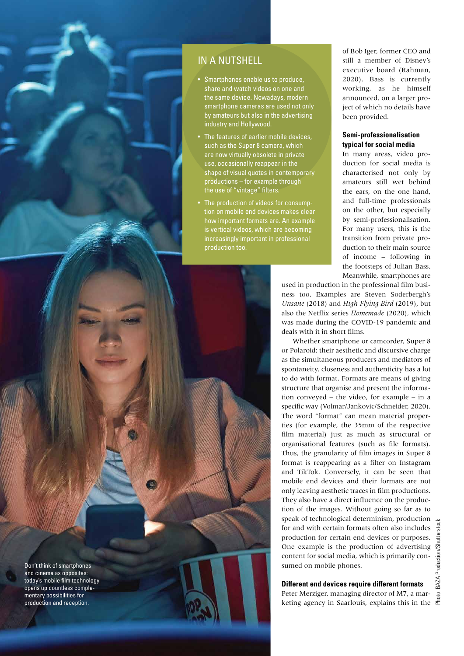

- Smartphones enable us to produce, share and watch videos on one and the same device. Nowadays, modern smartphone cameras are used not only by amateurs but also in the advertising industry and Hollywood.
- The features of earlier mobile devices, such as the Super 8 camera, which are now virtually obsolete in private use, occasionally reappear in the shape of visual quotes in contemporary productions – for example through the use of "vintage" filters.
- The production of videos for consumption on mobile end devices makes clear how important formats are. An example is vertical videos, which are becoming increasingly important in professional production too.

of Bob Iger, former CEO and still a member of Disney's executive board (Rahman, 2020). Bass is currently working, as he himself announced, on a larger project of which no details have been provided.

## **Semi-professionalisation typical for social media**

In many areas, video production for social media is characterised not only by amateurs still wet behind the ears, on the one hand, and full-time professionals on the other, but especially by semi-professionalisation. For many users, this is the transition from private production to their main source of income – following in the footsteps of Julian Bass. Meanwhile, smartphones are

used in production in the professional film business too. Examples are Steven Soderbergh's *Unsane* (2018) and *High Flying Bird* (2019), but also the Netflix series *Homemade* (2020), which was made during the COVID-19 pandemic and deals with it in short films.

Whether smartphone or camcorder, Super 8 or Polaroid: their aesthetic and discursive charge as the simultaneous producers and mediators of spontaneity, closeness and authenticity has a lot to do with format. Formats are means of giving structure that organise and present the information conveyed – the video, for example – in a specific way (Volmar/Jankovic/Schneider, 2020). The word "format" can mean material properties (for example, the 35mm of the respective film material) just as much as structural or organisational features (such as file formats). Thus, the granularity of film images in Super 8 format is reappearing as a filter on Instagram and TikTok. Conversely, it can be seen that mobile end devices and their formats are not only leaving aesthetic traces in film productions. They also have a direct influence on the production of the images. Without going so far as to speak of technological determinism, production for and with certain formats often also includes production for certain end devices or purposes. One example is the production of advertising content for social media, which is primarily consumed on mobile phones.

# **Different end devices require different formats**

Peter Merziger, managing director of M7, a marketing agency in Saarlouis, explains this in the



Don't think of smartphones and cinema as opposites: today's mobile film technology opens up countless complementary possibilities for production and reception.

Motion with meaning